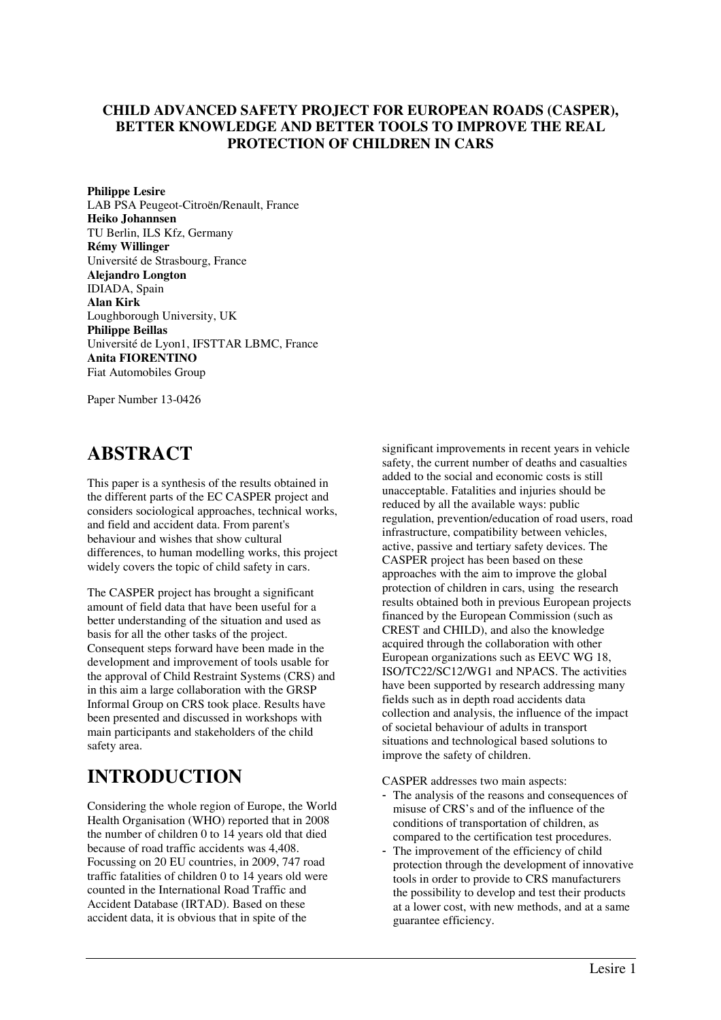# **CHILD ADVANCED SAFETY PROJECT FOR EUROPEAN ROADS (CASPER), BETTER KNOWLEDGE AND BETTER TOOLS TO IMPROVE THE REAL PROTECTION OF CHILDREN IN CARS**

**Philippe Lesire**  LAB PSA Peugeot-Citroën/Renault, France **Heiko Johannsen**  TU Berlin, ILS Kfz, Germany **Rémy Willinger**  Université de Strasbourg, France **Alejandro Longton**  IDIADA, Spain **Alan Kirk**  Loughborough University, UK **Philippe Beillas**  Université de Lyon1, IFSTTAR LBMC, France **Anita FIORENTINO**  Fiat Automobiles Group

Paper Number 13-0426

# **ABSTRACT**

This paper is a synthesis of the results obtained in the different parts of the EC CASPER project and considers sociological approaches, technical works, and field and accident data. From parent's behaviour and wishes that show cultural differences, to human modelling works, this project widely covers the topic of child safety in cars.

The CASPER project has brought a significant amount of field data that have been useful for a better understanding of the situation and used as basis for all the other tasks of the project. Consequent steps forward have been made in the development and improvement of tools usable for the approval of Child Restraint Systems (CRS) and in this aim a large collaboration with the GRSP Informal Group on CRS took place. Results have been presented and discussed in workshops with main participants and stakeholders of the child safety area.

# **INTRODUCTION**

Considering the whole region of Europe, the World Health Organisation (WHO) reported that in 2008 the number of children 0 to 14 years old that died because of road traffic accidents was 4,408. Focussing on 20 EU countries, in 2009, 747 road traffic fatalities of children 0 to 14 years old were counted in the International Road Traffic and Accident Database (IRTAD). Based on these accident data, it is obvious that in spite of the

significant improvements in recent years in vehicle safety, the current number of deaths and casualties added to the social and economic costs is still unacceptable. Fatalities and injuries should be reduced by all the available ways: public regulation, prevention/education of road users, road infrastructure, compatibility between vehicles, active, passive and tertiary safety devices. The CASPER project has been based on these approaches with the aim to improve the global protection of children in cars, using the research results obtained both in previous European projects financed by the European Commission (such as CREST and CHILD), and also the knowledge acquired through the collaboration with other European organizations such as EEVC WG 18, ISO/TC22/SC12/WG1 and NPACS. The activities have been supported by research addressing many fields such as in depth road accidents data collection and analysis, the influence of the impact of societal behaviour of adults in transport situations and technological based solutions to improve the safety of children.

CASPER addresses two main aspects:

- The analysis of the reasons and consequences of misuse of CRS's and of the influence of the conditions of transportation of children, as compared to the certification test procedures.
- The improvement of the efficiency of child protection through the development of innovative tools in order to provide to CRS manufacturers the possibility to develop and test their products at a lower cost, with new methods, and at a same guarantee efficiency.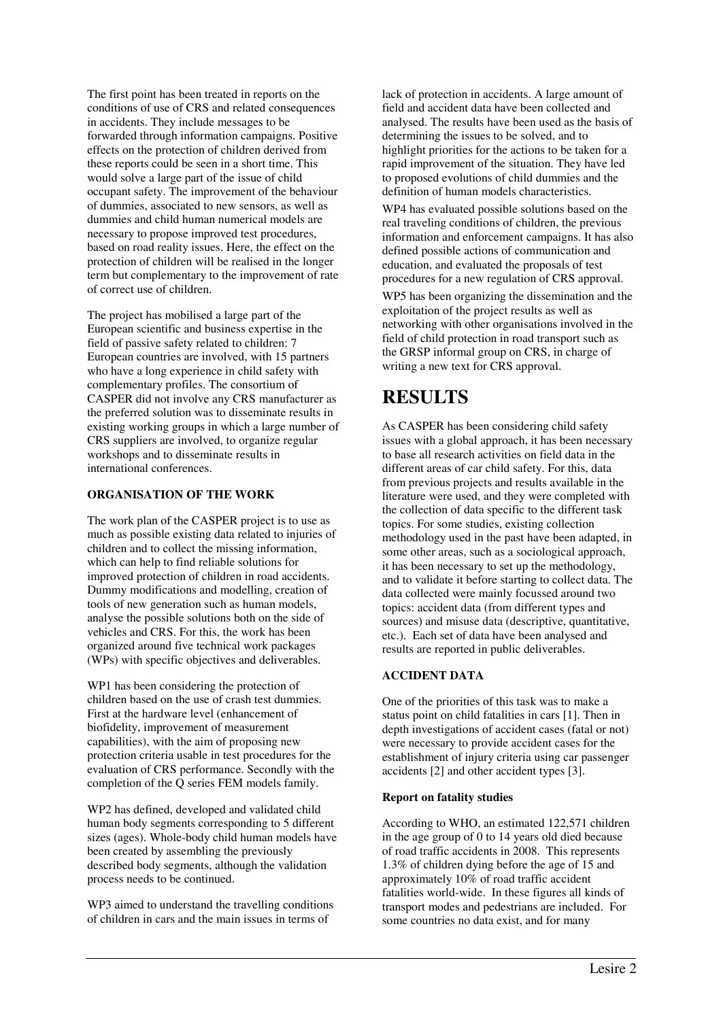The first point has been treated in reports on the conditions of use of CRS and related consequences in accidents. They include messages to be forwarded through information campaigns. Positive effects on the protection of children derived from these reports could be seen in a short time. This would solve a large part of the issue of child occupant safety. The improvement of the behaviour of dummies, associated to new sensors, as well as dummies and child human numerical models are necessary to propose improved test procedures, based on road reality issues. Here, the effect on the protection of children will be realised in the longer term but complementary to the improvement of rate of correct use of children.

The project has mobilised a large part of the European scientific and business expertise in the field of passive safety related to children: 7 European countries are involved, with 15 partners who have a long experience in child safety with complementary profiles. The consortium of CASPER did not involve any CRS manufacturer as the preferred solution was to disseminate results in existing working groups in which a large number of CRS suppliers are involved, to organize regular workshops and to disseminate results in international conferences.

# **ORGANISATION OF THE WORK**

The work plan of the CASPER project is to use as much as possible existing data related to injuries of children and to collect the missing information, which can help to find reliable solutions for improved protection of children in road accidents. Dummy modifications and modelling, creation of tools of new generation such as human models, analyse the possible solutions both on the side of vehicles and CRS. For this, the work has been organized around five technical work packages (WPs) with specific objectives and deliverables.

WP1 has been considering the protection of children based on the use of crash test dummies. First at the hardware level (enhancement of biofidelity, improvement of measurement capabilities), with the aim of proposing new protection criteria usable in test procedures for the evaluation of CRS performance. Secondly with the completion of the Q series FEM models family.

WP2 has defined, developed and validated child human body segments corresponding to 5 different sizes (ages). Whole-body child human models have been created by assembling the previously described body segments, although the validation process needs to be continued.

WP3 aimed to understand the travelling conditions of children in cars and the main issues in terms of

lack of protection in accidents. A large amount of field and accident data have been collected and analysed. The results have been used as the basis of determining the issues to be solved, and to highlight priorities for the actions to be taken for a rapid improvement of the situation. They have led to proposed evolutions of child dummies and the definition of human models characteristics.

WP4 has evaluated possible solutions based on the real traveling conditions of children, the previous information and enforcement campaigns. It has also defined possible actions of communication and education, and evaluated the proposals of test procedures for a new regulation of CRS approval.

WP5 has been organizing the dissemination and the exploitation of the project results as well as networking with other organisations involved in the field of child protection in road transport such as the GRSP informal group on CRS, in charge of writing a new text for CRS approval.

# **RESULTS**

As CASPER has been considering child safety issues with a global approach, it has been necessary to base all research activities on field data in the different areas of car child safety. For this, data from previous projects and results available in the literature were used, and they were completed with the collection of data specific to the different task topics. For some studies, existing collection methodology used in the past have been adapted, in some other areas, such as a sociological approach, it has been necessary to set up the methodology, and to validate it before starting to collect data. The data collected were mainly focussed around two topics: accident data (from different types and sources) and misuse data (descriptive, quantitative, etc.). Each set of data have been analysed and results are reported in public deliverables.

# **ACCIDENT DATA**

One of the priorities of this task was to make a status point on child fatalities in cars [1]. Then in depth investigations of accident cases (fatal or not) were necessary to provide accident cases for the establishment of injury criteria using car passenger accidents [2] and other accident types [3].

# **Report on fatality studies**

According to WHO, an estimated 122,571 children in the age group of 0 to 14 years old died because of road traffic accidents in 2008. This represents 1.3% of children dying before the age of 15 and approximately 10% of road traffic accident fatalities world-wide. In these figures all kinds of transport modes and pedestrians are included. For some countries no data exist, and for many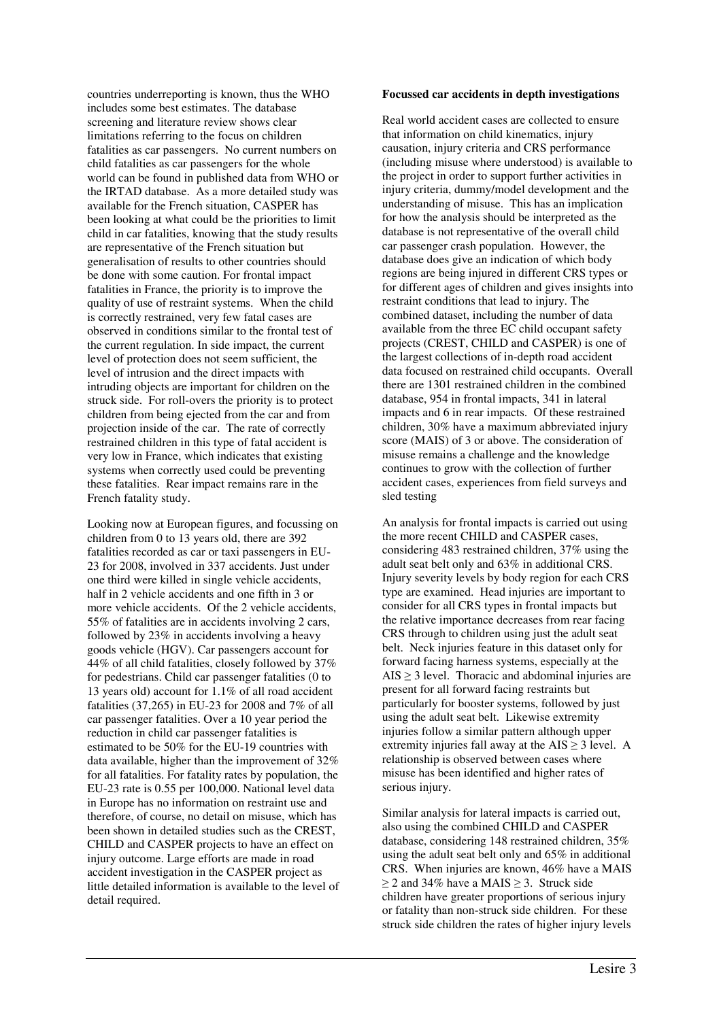countries underreporting is known, thus the WHO includes some best estimates. The database screening and literature review shows clear limitations referring to the focus on children fatalities as car passengers. No current numbers on child fatalities as car passengers for the whole world can be found in published data from WHO or the IRTAD database. As a more detailed study was available for the French situation, CASPER has been looking at what could be the priorities to limit child in car fatalities, knowing that the study results are representative of the French situation but generalisation of results to other countries should be done with some caution. For frontal impact fatalities in France, the priority is to improve the quality of use of restraint systems. When the child is correctly restrained, very few fatal cases are observed in conditions similar to the frontal test of the current regulation. In side impact, the current level of protection does not seem sufficient, the level of intrusion and the direct impacts with intruding objects are important for children on the struck side. For roll-overs the priority is to protect children from being ejected from the car and from projection inside of the car. The rate of correctly restrained children in this type of fatal accident is very low in France, which indicates that existing systems when correctly used could be preventing these fatalities. Rear impact remains rare in the French fatality study.

Looking now at European figures, and focussing on children from 0 to 13 years old, there are 392 fatalities recorded as car or taxi passengers in EU-23 for 2008, involved in 337 accidents. Just under one third were killed in single vehicle accidents, half in 2 vehicle accidents and one fifth in 3 or more vehicle accidents. Of the 2 vehicle accidents, 55% of fatalities are in accidents involving 2 cars, followed by 23% in accidents involving a heavy goods vehicle (HGV). Car passengers account for 44% of all child fatalities, closely followed by 37% for pedestrians. Child car passenger fatalities (0 to 13 years old) account for 1.1% of all road accident fatalities (37,265) in EU-23 for 2008 and 7% of all car passenger fatalities. Over a 10 year period the reduction in child car passenger fatalities is estimated to be 50% for the EU-19 countries with data available, higher than the improvement of 32% for all fatalities. For fatality rates by population, the EU-23 rate is 0.55 per 100,000. National level data in Europe has no information on restraint use and therefore, of course, no detail on misuse, which has been shown in detailed studies such as the CREST, CHILD and CASPER projects to have an effect on injury outcome. Large efforts are made in road accident investigation in the CASPER project as little detailed information is available to the level of detail required.

#### **Focussed car accidents in depth investigations**

Real world accident cases are collected to ensure that information on child kinematics, injury causation, injury criteria and CRS performance (including misuse where understood) is available to the project in order to support further activities in injury criteria, dummy/model development and the understanding of misuse. This has an implication for how the analysis should be interpreted as the database is not representative of the overall child car passenger crash population. However, the database does give an indication of which body regions are being injured in different CRS types or for different ages of children and gives insights into restraint conditions that lead to injury. The combined dataset, including the number of data available from the three EC child occupant safety projects (CREST, CHILD and CASPER) is one of the largest collections of in-depth road accident data focused on restrained child occupants. Overall there are 1301 restrained children in the combined database, 954 in frontal impacts, 341 in lateral impacts and 6 in rear impacts. Of these restrained children, 30% have a maximum abbreviated injury score (MAIS) of 3 or above. The consideration of misuse remains a challenge and the knowledge continues to grow with the collection of further accident cases, experiences from field surveys and sled testing

An analysis for frontal impacts is carried out using the more recent CHILD and CASPER cases, considering 483 restrained children, 37% using the adult seat belt only and 63% in additional CRS. Injury severity levels by body region for each CRS type are examined. Head injuries are important to consider for all CRS types in frontal impacts but the relative importance decreases from rear facing CRS through to children using just the adult seat belt. Neck injuries feature in this dataset only for forward facing harness systems, especially at the  $AIS \geq 3$  level. Thoracic and abdominal injuries are present for all forward facing restraints but particularly for booster systems, followed by just using the adult seat belt. Likewise extremity injuries follow a similar pattern although upper extremity injuries fall away at the  $AIS \geq 3$  level. A relationship is observed between cases where misuse has been identified and higher rates of serious injury.

Similar analysis for lateral impacts is carried out, also using the combined CHILD and CASPER database, considering 148 restrained children, 35% using the adult seat belt only and 65% in additional CRS. When injuries are known, 46% have a MAIS  $>$  2 and 34% have a MAIS  $>$  3. Struck side children have greater proportions of serious injury or fatality than non-struck side children. For these struck side children the rates of higher injury levels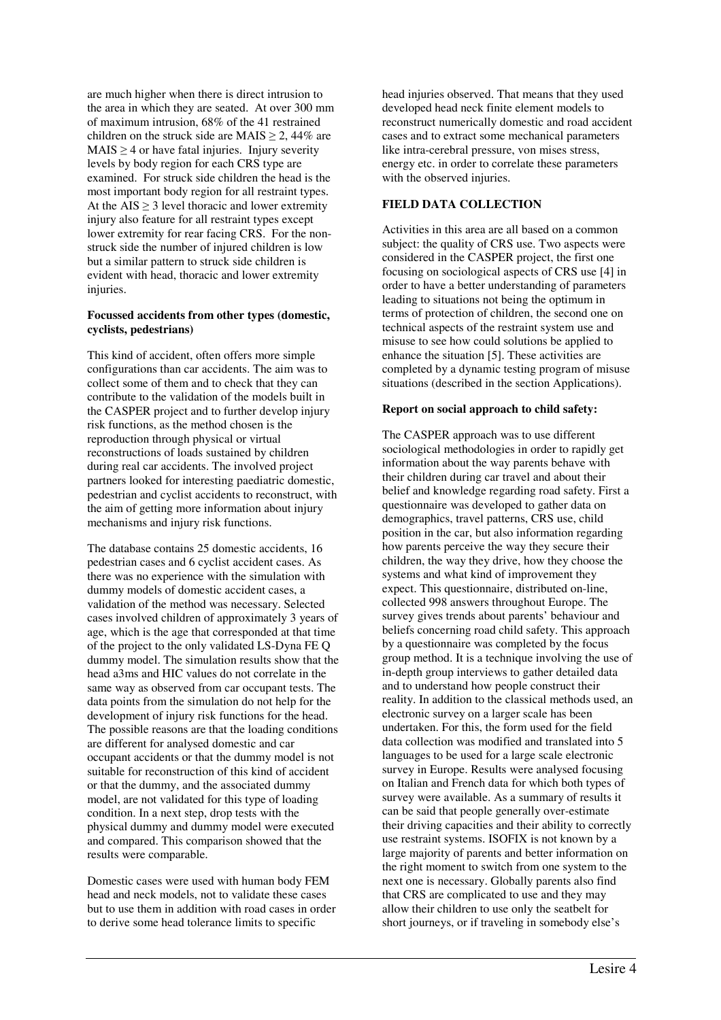are much higher when there is direct intrusion to the area in which they are seated. At over 300 mm of maximum intrusion, 68% of the 41 restrained children on the struck side are MAIS  $\geq$  2, 44% are  $MAIS > 4$  or have fatal injuries. Injury severity levels by body region for each CRS type are examined. For struck side children the head is the most important body region for all restraint types. At the  $AIS \geq 3$  level thoracic and lower extremity injury also feature for all restraint types except lower extremity for rear facing CRS. For the nonstruck side the number of injured children is low but a similar pattern to struck side children is evident with head, thoracic and lower extremity injuries.

# **Focussed accidents from other types (domestic, cyclists, pedestrians)**

This kind of accident, often offers more simple configurations than car accidents. The aim was to collect some of them and to check that they can contribute to the validation of the models built in the CASPER project and to further develop injury risk functions, as the method chosen is the reproduction through physical or virtual reconstructions of loads sustained by children during real car accidents. The involved project partners looked for interesting paediatric domestic, pedestrian and cyclist accidents to reconstruct, with the aim of getting more information about injury mechanisms and injury risk functions.

The database contains 25 domestic accidents, 16 pedestrian cases and 6 cyclist accident cases. As there was no experience with the simulation with dummy models of domestic accident cases, a validation of the method was necessary. Selected cases involved children of approximately 3 years of age, which is the age that corresponded at that time of the project to the only validated LS-Dyna FE Q dummy model. The simulation results show that the head a3ms and HIC values do not correlate in the same way as observed from car occupant tests. The data points from the simulation do not help for the development of injury risk functions for the head. The possible reasons are that the loading conditions are different for analysed domestic and car occupant accidents or that the dummy model is not suitable for reconstruction of this kind of accident or that the dummy, and the associated dummy model, are not validated for this type of loading condition. In a next step, drop tests with the physical dummy and dummy model were executed and compared. This comparison showed that the results were comparable.

Domestic cases were used with human body FEM head and neck models, not to validate these cases but to use them in addition with road cases in order to derive some head tolerance limits to specific

head injuries observed. That means that they used developed head neck finite element models to reconstruct numerically domestic and road accident cases and to extract some mechanical parameters like intra-cerebral pressure, von mises stress, energy etc. in order to correlate these parameters with the observed injuries.

# **FIELD DATA COLLECTION**

Activities in this area are all based on a common subject: the quality of CRS use. Two aspects were considered in the CASPER project, the first one focusing on sociological aspects of CRS use [4] in order to have a better understanding of parameters leading to situations not being the optimum in terms of protection of children, the second one on technical aspects of the restraint system use and misuse to see how could solutions be applied to enhance the situation [5]. These activities are completed by a dynamic testing program of misuse situations (described in the section Applications).

# **Report on social approach to child safety:**

The CASPER approach was to use different sociological methodologies in order to rapidly get information about the way parents behave with their children during car travel and about their belief and knowledge regarding road safety. First a questionnaire was developed to gather data on demographics, travel patterns, CRS use, child position in the car, but also information regarding how parents perceive the way they secure their children, the way they drive, how they choose the systems and what kind of improvement they expect. This questionnaire, distributed on-line, collected 998 answers throughout Europe. The survey gives trends about parents' behaviour and beliefs concerning road child safety. This approach by a questionnaire was completed by the focus group method. It is a technique involving the use of in-depth group interviews to gather detailed data and to understand how people construct their reality. In addition to the classical methods used, an electronic survey on a larger scale has been undertaken. For this, the form used for the field data collection was modified and translated into 5 languages to be used for a large scale electronic survey in Europe. Results were analysed focusing on Italian and French data for which both types of survey were available. As a summary of results it can be said that people generally over-estimate their driving capacities and their ability to correctly use restraint systems. ISOFIX is not known by a large majority of parents and better information on the right moment to switch from one system to the next one is necessary. Globally parents also find that CRS are complicated to use and they may allow their children to use only the seatbelt for short journeys, or if traveling in somebody else's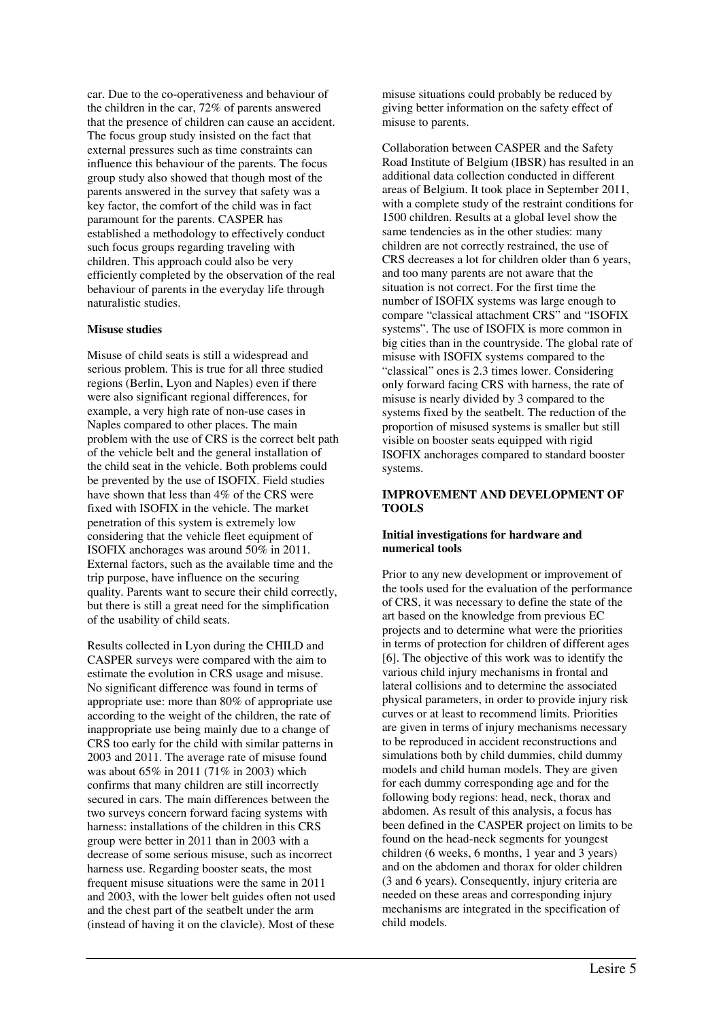car. Due to the co-operativeness and behaviour of the children in the car, 72% of parents answered that the presence of children can cause an accident. The focus group study insisted on the fact that external pressures such as time constraints can influence this behaviour of the parents. The focus group study also showed that though most of the parents answered in the survey that safety was a key factor, the comfort of the child was in fact paramount for the parents. CASPER has established a methodology to effectively conduct such focus groups regarding traveling with children. This approach could also be very efficiently completed by the observation of the real behaviour of parents in the everyday life through naturalistic studies.

# **Misuse studies**

Misuse of child seats is still a widespread and serious problem. This is true for all three studied regions (Berlin, Lyon and Naples) even if there were also significant regional differences, for example, a very high rate of non-use cases in Naples compared to other places. The main problem with the use of CRS is the correct belt path of the vehicle belt and the general installation of the child seat in the vehicle. Both problems could be prevented by the use of ISOFIX. Field studies have shown that less than 4% of the CRS were fixed with ISOFIX in the vehicle. The market penetration of this system is extremely low considering that the vehicle fleet equipment of ISOFIX anchorages was around 50% in 2011. External factors, such as the available time and the trip purpose, have influence on the securing quality. Parents want to secure their child correctly, but there is still a great need for the simplification of the usability of child seats.

Results collected in Lyon during the CHILD and CASPER surveys were compared with the aim to estimate the evolution in CRS usage and misuse. No significant difference was found in terms of appropriate use: more than 80% of appropriate use according to the weight of the children, the rate of inappropriate use being mainly due to a change of CRS too early for the child with similar patterns in 2003 and 2011. The average rate of misuse found was about 65% in 2011 (71% in 2003) which confirms that many children are still incorrectly secured in cars. The main differences between the two surveys concern forward facing systems with harness: installations of the children in this CRS group were better in 2011 than in 2003 with a decrease of some serious misuse, such as incorrect harness use. Regarding booster seats, the most frequent misuse situations were the same in 2011 and 2003, with the lower belt guides often not used and the chest part of the seatbelt under the arm (instead of having it on the clavicle). Most of these

misuse situations could probably be reduced by giving better information on the safety effect of misuse to parents.

Collaboration between CASPER and the Safety Road Institute of Belgium (IBSR) has resulted in an additional data collection conducted in different areas of Belgium. It took place in September 2011, with a complete study of the restraint conditions for 1500 children. Results at a global level show the same tendencies as in the other studies: many children are not correctly restrained, the use of CRS decreases a lot for children older than 6 years, and too many parents are not aware that the situation is not correct. For the first time the number of ISOFIX systems was large enough to compare "classical attachment CRS" and "ISOFIX systems". The use of ISOFIX is more common in big cities than in the countryside. The global rate of misuse with ISOFIX systems compared to the "classical" ones is 2.3 times lower. Considering only forward facing CRS with harness, the rate of misuse is nearly divided by 3 compared to the systems fixed by the seatbelt. The reduction of the proportion of misused systems is smaller but still visible on booster seats equipped with rigid ISOFIX anchorages compared to standard booster systems.

# **IMPROVEMENT AND DEVELOPMENT OF TOOLS**

# **Initial investigations for hardware and numerical tools**

Prior to any new development or improvement of the tools used for the evaluation of the performance of CRS, it was necessary to define the state of the art based on the knowledge from previous EC projects and to determine what were the priorities in terms of protection for children of different ages [6]. The objective of this work was to identify the various child injury mechanisms in frontal and lateral collisions and to determine the associated physical parameters, in order to provide injury risk curves or at least to recommend limits. Priorities are given in terms of injury mechanisms necessary to be reproduced in accident reconstructions and simulations both by child dummies, child dummy models and child human models. They are given for each dummy corresponding age and for the following body regions: head, neck, thorax and abdomen. As result of this analysis, a focus has been defined in the CASPER project on limits to be found on the head-neck segments for youngest children (6 weeks, 6 months, 1 year and 3 years) and on the abdomen and thorax for older children (3 and 6 years). Consequently, injury criteria are needed on these areas and corresponding injury mechanisms are integrated in the specification of child models.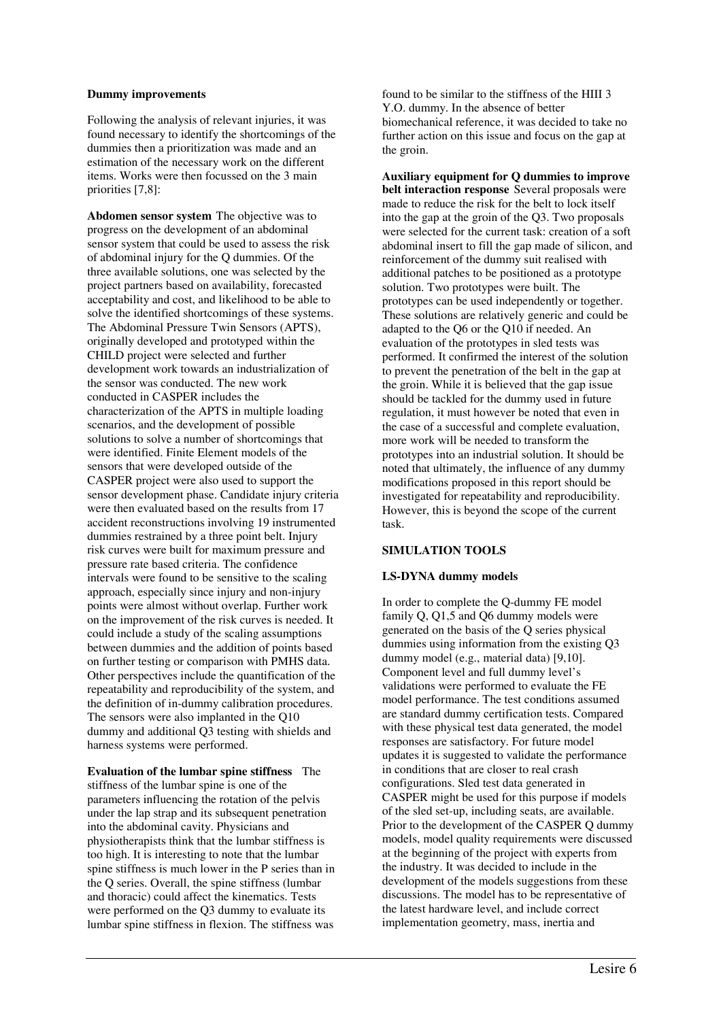#### **Dummy improvements**

Following the analysis of relevant injuries, it was found necessary to identify the shortcomings of the dummies then a prioritization was made and an estimation of the necessary work on the different items. Works were then focussed on the 3 main priorities [7,8]:

**Abdomen sensor system** The objective was to progress on the development of an abdominal sensor system that could be used to assess the risk of abdominal injury for the Q dummies. Of the three available solutions, one was selected by the project partners based on availability, forecasted acceptability and cost, and likelihood to be able to solve the identified shortcomings of these systems. The Abdominal Pressure Twin Sensors (APTS), originally developed and prototyped within the CHILD project were selected and further development work towards an industrialization of the sensor was conducted. The new work conducted in CASPER includes the characterization of the APTS in multiple loading scenarios, and the development of possible solutions to solve a number of shortcomings that were identified. Finite Element models of the sensors that were developed outside of the CASPER project were also used to support the sensor development phase. Candidate injury criteria were then evaluated based on the results from 17 accident reconstructions involving 19 instrumented dummies restrained by a three point belt. Injury risk curves were built for maximum pressure and pressure rate based criteria. The confidence intervals were found to be sensitive to the scaling approach, especially since injury and non-injury points were almost without overlap. Further work on the improvement of the risk curves is needed. It could include a study of the scaling assumptions between dummies and the addition of points based on further testing or comparison with PMHS data. Other perspectives include the quantification of the repeatability and reproducibility of the system, and the definition of in-dummy calibration procedures. The sensors were also implanted in the Q10 dummy and additional Q3 testing with shields and harness systems were performed.

**Evaluation of the lumbar spine stiffness** The stiffness of the lumbar spine is one of the parameters influencing the rotation of the pelvis under the lap strap and its subsequent penetration into the abdominal cavity. Physicians and physiotherapists think that the lumbar stiffness is too high. It is interesting to note that the lumbar spine stiffness is much lower in the P series than in the Q series. Overall, the spine stiffness (lumbar and thoracic) could affect the kinematics. Tests were performed on the Q3 dummy to evaluate its lumbar spine stiffness in flexion. The stiffness was

found to be similar to the stiffness of the HIII 3 Y.O. dummy. In the absence of better biomechanical reference, it was decided to take no further action on this issue and focus on the gap at the groin.

**Auxiliary equipment for Q dummies to improve belt interaction response** Several proposals were made to reduce the risk for the belt to lock itself into the gap at the groin of the Q3. Two proposals were selected for the current task: creation of a soft abdominal insert to fill the gap made of silicon, and reinforcement of the dummy suit realised with additional patches to be positioned as a prototype solution. Two prototypes were built. The prototypes can be used independently or together. These solutions are relatively generic and could be adapted to the Q6 or the Q10 if needed. An evaluation of the prototypes in sled tests was performed. It confirmed the interest of the solution to prevent the penetration of the belt in the gap at the groin. While it is believed that the gap issue should be tackled for the dummy used in future regulation, it must however be noted that even in the case of a successful and complete evaluation, more work will be needed to transform the prototypes into an industrial solution. It should be noted that ultimately, the influence of any dummy modifications proposed in this report should be investigated for repeatability and reproducibility. However, this is beyond the scope of the current task.

# **SIMULATION TOOLS**

#### **LS-DYNA dummy models**

In order to complete the Q-dummy FE model family Q, Q1,5 and Q6 dummy models were generated on the basis of the Q series physical dummies using information from the existing Q3 dummy model (e.g., material data) [9,10]. Component level and full dummy level's validations were performed to evaluate the FE model performance. The test conditions assumed are standard dummy certification tests. Compared with these physical test data generated, the model responses are satisfactory. For future model updates it is suggested to validate the performance in conditions that are closer to real crash configurations. Sled test data generated in CASPER might be used for this purpose if models of the sled set-up, including seats, are available. Prior to the development of the CASPER Q dummy models, model quality requirements were discussed at the beginning of the project with experts from the industry. It was decided to include in the development of the models suggestions from these discussions. The model has to be representative of the latest hardware level, and include correct implementation geometry, mass, inertia and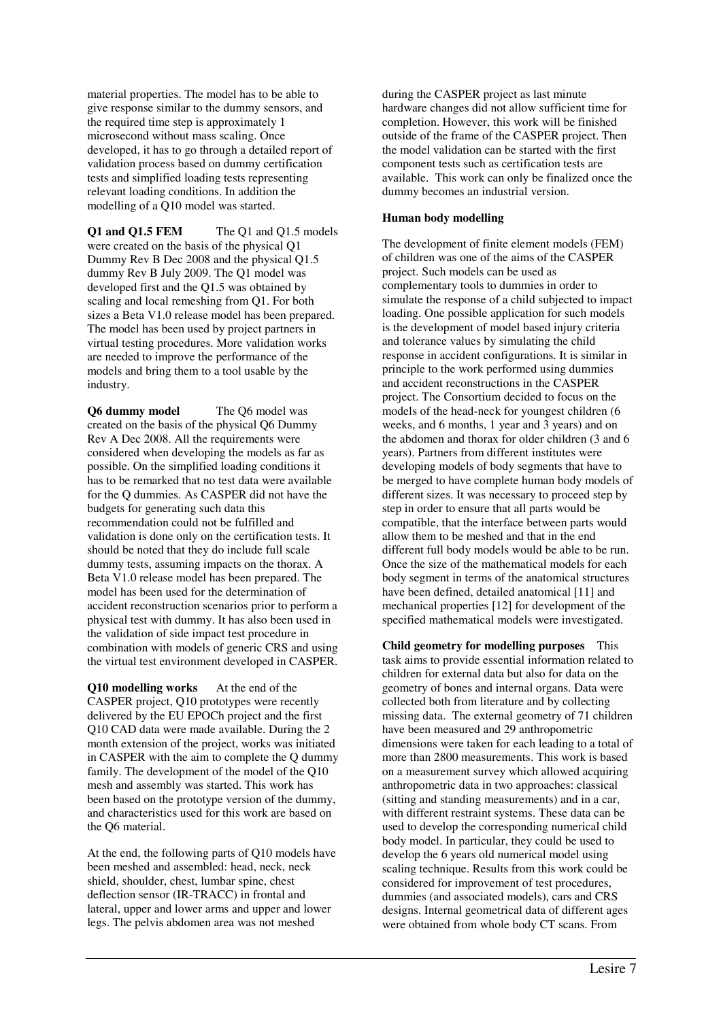material properties. The model has to be able to give response similar to the dummy sensors, and the required time step is approximately 1 microsecond without mass scaling. Once developed, it has to go through a detailed report of validation process based on dummy certification tests and simplified loading tests representing relevant loading conditions. In addition the modelling of a Q10 model was started.

**Q1 and Q1.5 FEM** The Q1 and Q1.5 models were created on the basis of the physical Q1 Dummy Rev B Dec 2008 and the physical Q1.5 dummy Rev B July 2009. The Q1 model was developed first and the Q1.5 was obtained by scaling and local remeshing from Q1. For both sizes a Beta V1.0 release model has been prepared. The model has been used by project partners in virtual testing procedures. More validation works are needed to improve the performance of the models and bring them to a tool usable by the industry.

**Q6 dummy model** The Q6 model was created on the basis of the physical Q6 Dummy Rev A Dec 2008. All the requirements were considered when developing the models as far as possible. On the simplified loading conditions it has to be remarked that no test data were available for the Q dummies. As CASPER did not have the budgets for generating such data this recommendation could not be fulfilled and validation is done only on the certification tests. It should be noted that they do include full scale dummy tests, assuming impacts on the thorax. A Beta V1.0 release model has been prepared. The model has been used for the determination of accident reconstruction scenarios prior to perform a physical test with dummy. It has also been used in the validation of side impact test procedure in combination with models of generic CRS and using the virtual test environment developed in CASPER.

**Q10 modelling works** At the end of the CASPER project, Q10 prototypes were recently delivered by the EU EPOCh project and the first Q10 CAD data were made available. During the 2 month extension of the project, works was initiated in CASPER with the aim to complete the Q dummy family. The development of the model of the Q10 mesh and assembly was started. This work has been based on the prototype version of the dummy, and characteristics used for this work are based on the Q6 material.

At the end, the following parts of Q10 models have been meshed and assembled: head, neck, neck shield, shoulder, chest, lumbar spine, chest deflection sensor (IR-TRACC) in frontal and lateral, upper and lower arms and upper and lower legs. The pelvis abdomen area was not meshed

during the CASPER project as last minute hardware changes did not allow sufficient time for completion. However, this work will be finished outside of the frame of the CASPER project. Then the model validation can be started with the first component tests such as certification tests are available. This work can only be finalized once the dummy becomes an industrial version.

# **Human body modelling**

The development of finite element models (FEM) of children was one of the aims of the CASPER project. Such models can be used as complementary tools to dummies in order to simulate the response of a child subjected to impact loading. One possible application for such models is the development of model based injury criteria and tolerance values by simulating the child response in accident configurations. It is similar in principle to the work performed using dummies and accident reconstructions in the CASPER project. The Consortium decided to focus on the models of the head-neck for youngest children (6 weeks, and 6 months, 1 year and 3 years) and on the abdomen and thorax for older children (3 and 6 years). Partners from different institutes were developing models of body segments that have to be merged to have complete human body models of different sizes. It was necessary to proceed step by step in order to ensure that all parts would be compatible, that the interface between parts would allow them to be meshed and that in the end different full body models would be able to be run. Once the size of the mathematical models for each body segment in terms of the anatomical structures have been defined, detailed anatomical [11] and mechanical properties [12] for development of the specified mathematical models were investigated.

**Child geometry for modelling purposes** This task aims to provide essential information related to children for external data but also for data on the geometry of bones and internal organs. Data were collected both from literature and by collecting missing data. The external geometry of 71 children have been measured and 29 anthropometric dimensions were taken for each leading to a total of more than 2800 measurements. This work is based on a measurement survey which allowed acquiring anthropometric data in two approaches: classical (sitting and standing measurements) and in a car, with different restraint systems. These data can be used to develop the corresponding numerical child body model. In particular, they could be used to develop the 6 years old numerical model using scaling technique. Results from this work could be considered for improvement of test procedures, dummies (and associated models), cars and CRS designs. Internal geometrical data of different ages were obtained from whole body CT scans. From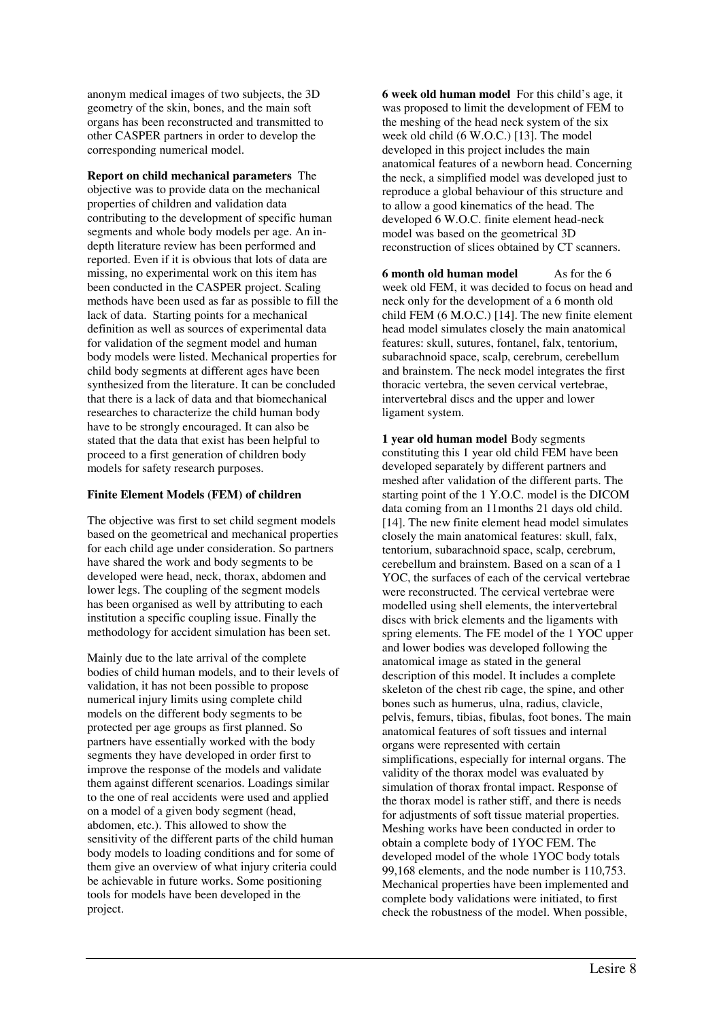anonym medical images of two subjects, the 3D geometry of the skin, bones, and the main soft organs has been reconstructed and transmitted to other CASPER partners in order to develop the corresponding numerical model.

**Report on child mechanical parameters** The objective was to provide data on the mechanical properties of children and validation data contributing to the development of specific human segments and whole body models per age. An indepth literature review has been performed and reported. Even if it is obvious that lots of data are missing, no experimental work on this item has been conducted in the CASPER project. Scaling methods have been used as far as possible to fill the lack of data. Starting points for a mechanical definition as well as sources of experimental data for validation of the segment model and human body models were listed. Mechanical properties for child body segments at different ages have been synthesized from the literature. It can be concluded that there is a lack of data and that biomechanical researches to characterize the child human body have to be strongly encouraged. It can also be stated that the data that exist has been helpful to proceed to a first generation of children body models for safety research purposes.

# **Finite Element Models (FEM) of children**

The objective was first to set child segment models based on the geometrical and mechanical properties for each child age under consideration. So partners have shared the work and body segments to be developed were head, neck, thorax, abdomen and lower legs. The coupling of the segment models has been organised as well by attributing to each institution a specific coupling issue. Finally the methodology for accident simulation has been set.

Mainly due to the late arrival of the complete bodies of child human models, and to their levels of validation, it has not been possible to propose numerical injury limits using complete child models on the different body segments to be protected per age groups as first planned. So partners have essentially worked with the body segments they have developed in order first to improve the response of the models and validate them against different scenarios. Loadings similar to the one of real accidents were used and applied on a model of a given body segment (head, abdomen, etc.). This allowed to show the sensitivity of the different parts of the child human body models to loading conditions and for some of them give an overview of what injury criteria could be achievable in future works. Some positioning tools for models have been developed in the project.

**6 week old human model** For this child's age, it was proposed to limit the development of FEM to the meshing of the head neck system of the six week old child (6 W.O.C.) [13]. The model developed in this project includes the main anatomical features of a newborn head. Concerning the neck, a simplified model was developed just to reproduce a global behaviour of this structure and to allow a good kinematics of the head. The developed 6 W.O.C. finite element head-neck model was based on the geometrical 3D reconstruction of slices obtained by CT scanners.

**6 month old human model**As for the 6 week old FEM, it was decided to focus on head and neck only for the development of a 6 month old child FEM (6 M.O.C.) [14]. The new finite element head model simulates closely the main anatomical features: skull, sutures, fontanel, falx, tentorium, subarachnoid space, scalp, cerebrum, cerebellum and brainstem. The neck model integrates the first thoracic vertebra, the seven cervical vertebrae, intervertebral discs and the upper and lower ligament system.

**1 year old human model** Body segments constituting this 1 year old child FEM have been developed separately by different partners and meshed after validation of the different parts. The starting point of the 1 Y.O.C. model is the DICOM data coming from an 11months 21 days old child. [14]. The new finite element head model simulates closely the main anatomical features: skull, falx, tentorium, subarachnoid space, scalp, cerebrum, cerebellum and brainstem. Based on a scan of a 1 YOC, the surfaces of each of the cervical vertebrae were reconstructed. The cervical vertebrae were modelled using shell elements, the intervertebral discs with brick elements and the ligaments with spring elements. The FE model of the 1 YOC upper and lower bodies was developed following the anatomical image as stated in the general description of this model. It includes a complete skeleton of the chest rib cage, the spine, and other bones such as humerus, ulna, radius, clavicle, pelvis, femurs, tibias, fibulas, foot bones. The main anatomical features of soft tissues and internal organs were represented with certain simplifications, especially for internal organs. The validity of the thorax model was evaluated by simulation of thorax frontal impact. Response of the thorax model is rather stiff, and there is needs for adjustments of soft tissue material properties. Meshing works have been conducted in order to obtain a complete body of 1YOC FEM. The developed model of the whole 1YOC body totals 99,168 elements, and the node number is 110,753. Mechanical properties have been implemented and complete body validations were initiated, to first check the robustness of the model. When possible,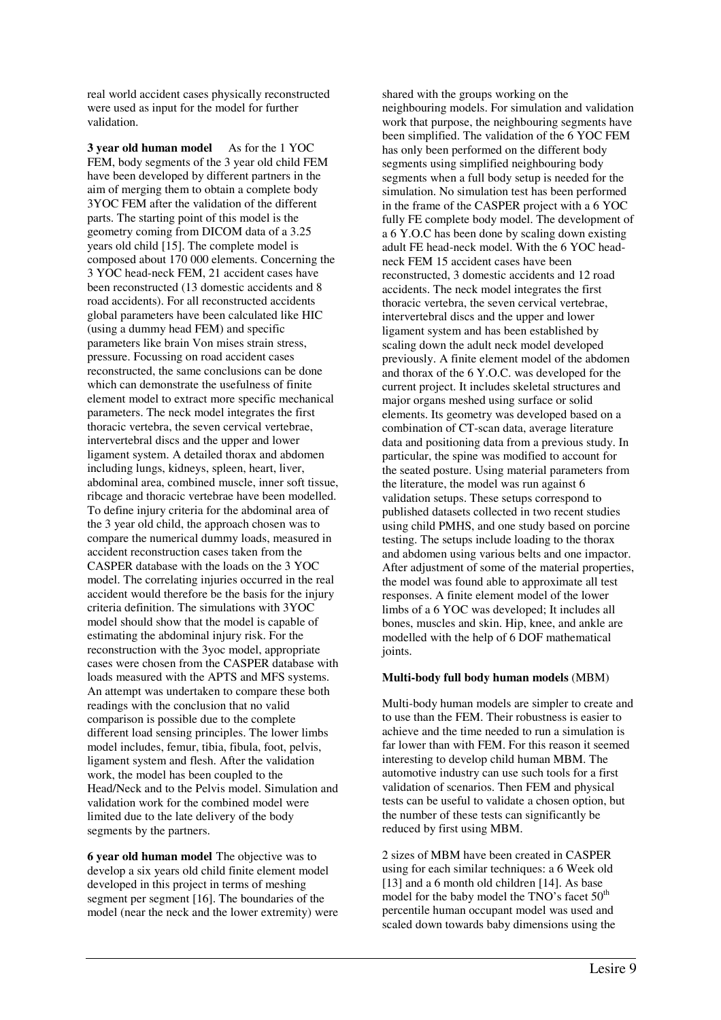real world accident cases physically reconstructed were used as input for the model for further validation.

**3 year old human model**As for the 1 YOC FEM, body segments of the 3 year old child FEM have been developed by different partners in the aim of merging them to obtain a complete body 3YOC FEM after the validation of the different parts. The starting point of this model is the geometry coming from DICOM data of a 3.25 years old child [15]. The complete model is composed about 170 000 elements. Concerning the 3 YOC head-neck FEM, 21 accident cases have been reconstructed (13 domestic accidents and 8 road accidents). For all reconstructed accidents global parameters have been calculated like HIC (using a dummy head FEM) and specific parameters like brain Von mises strain stress, pressure. Focussing on road accident cases reconstructed, the same conclusions can be done which can demonstrate the usefulness of finite element model to extract more specific mechanical parameters. The neck model integrates the first thoracic vertebra, the seven cervical vertebrae, intervertebral discs and the upper and lower ligament system. A detailed thorax and abdomen including lungs, kidneys, spleen, heart, liver, abdominal area, combined muscle, inner soft tissue, ribcage and thoracic vertebrae have been modelled. To define injury criteria for the abdominal area of the 3 year old child, the approach chosen was to compare the numerical dummy loads, measured in accident reconstruction cases taken from the CASPER database with the loads on the 3 YOC model. The correlating injuries occurred in the real accident would therefore be the basis for the injury criteria definition. The simulations with 3YOC model should show that the model is capable of estimating the abdominal injury risk. For the reconstruction with the 3yoc model, appropriate cases were chosen from the CASPER database with loads measured with the APTS and MFS systems. An attempt was undertaken to compare these both readings with the conclusion that no valid comparison is possible due to the complete different load sensing principles. The lower limbs model includes, femur, tibia, fibula, foot, pelvis, ligament system and flesh. After the validation work, the model has been coupled to the Head/Neck and to the Pelvis model. Simulation and validation work for the combined model were limited due to the late delivery of the body segments by the partners.

**6 year old human model** The objective was to develop a six years old child finite element model developed in this project in terms of meshing segment per segment [16]. The boundaries of the model (near the neck and the lower extremity) were

shared with the groups working on the neighbouring models. For simulation and validation work that purpose, the neighbouring segments have been simplified. The validation of the 6 YOC FEM has only been performed on the different body segments using simplified neighbouring body segments when a full body setup is needed for the simulation. No simulation test has been performed in the frame of the CASPER project with a 6 YOC fully FE complete body model. The development of a 6 Y.O.C has been done by scaling down existing adult FE head-neck model. With the 6 YOC headneck FEM 15 accident cases have been reconstructed, 3 domestic accidents and 12 road accidents. The neck model integrates the first thoracic vertebra, the seven cervical vertebrae, intervertebral discs and the upper and lower ligament system and has been established by scaling down the adult neck model developed previously. A finite element model of the abdomen and thorax of the 6 Y.O.C. was developed for the current project. It includes skeletal structures and major organs meshed using surface or solid elements. Its geometry was developed based on a combination of CT-scan data, average literature data and positioning data from a previous study. In particular, the spine was modified to account for the seated posture. Using material parameters from the literature, the model was run against 6 validation setups. These setups correspond to published datasets collected in two recent studies using child PMHS, and one study based on porcine testing. The setups include loading to the thorax and abdomen using various belts and one impactor. After adjustment of some of the material properties. the model was found able to approximate all test responses. A finite element model of the lower limbs of a 6 YOC was developed; It includes all bones, muscles and skin. Hip, knee, and ankle are modelled with the help of 6 DOF mathematical joints.

# **Multi-body full body human models** (MBM)

Multi-body human models are simpler to create and to use than the FEM. Their robustness is easier to achieve and the time needed to run a simulation is far lower than with FEM. For this reason it seemed interesting to develop child human MBM. The automotive industry can use such tools for a first validation of scenarios. Then FEM and physical tests can be useful to validate a chosen option, but the number of these tests can significantly be reduced by first using MBM.

2 sizes of MBM have been created in CASPER using for each similar techniques: a 6 Week old [13] and a 6 month old children [14]. As base model for the baby model the TNO's facet 50<sup>th</sup> percentile human occupant model was used and scaled down towards baby dimensions using the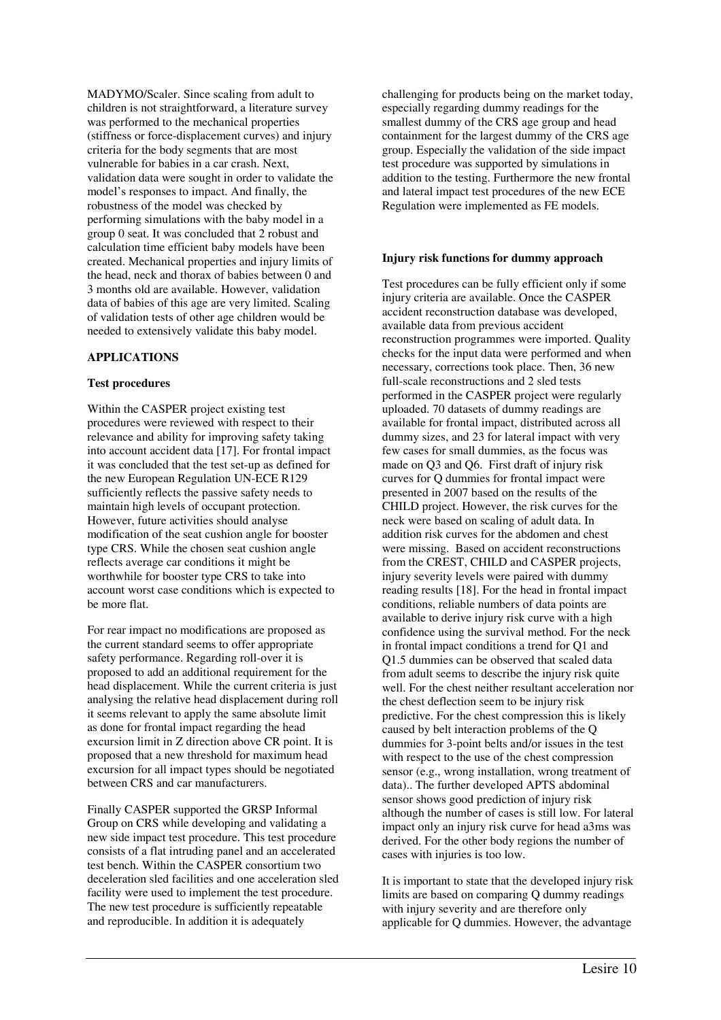MADYMO/Scaler. Since scaling from adult to children is not straightforward, a literature survey was performed to the mechanical properties (stiffness or force-displacement curves) and injury criteria for the body segments that are most vulnerable for babies in a car crash. Next, validation data were sought in order to validate the model's responses to impact. And finally, the robustness of the model was checked by performing simulations with the baby model in a group 0 seat. It was concluded that 2 robust and calculation time efficient baby models have been created. Mechanical properties and injury limits of the head, neck and thorax of babies between 0 and 3 months old are available. However, validation data of babies of this age are very limited. Scaling of validation tests of other age children would be needed to extensively validate this baby model.

# **APPLICATIONS**

# **Test procedures**

Within the CASPER project existing test procedures were reviewed with respect to their relevance and ability for improving safety taking into account accident data [17]. For frontal impact it was concluded that the test set-up as defined for the new European Regulation UN-ECE R129 sufficiently reflects the passive safety needs to maintain high levels of occupant protection. However, future activities should analyse modification of the seat cushion angle for booster type CRS. While the chosen seat cushion angle reflects average car conditions it might be worthwhile for booster type CRS to take into account worst case conditions which is expected to be more flat.

For rear impact no modifications are proposed as the current standard seems to offer appropriate safety performance. Regarding roll-over it is proposed to add an additional requirement for the head displacement. While the current criteria is just analysing the relative head displacement during roll it seems relevant to apply the same absolute limit as done for frontal impact regarding the head excursion limit in Z direction above CR point. It is proposed that a new threshold for maximum head excursion for all impact types should be negotiated between CRS and car manufacturers.

Finally CASPER supported the GRSP Informal Group on CRS while developing and validating a new side impact test procedure. This test procedure consists of a flat intruding panel and an accelerated test bench. Within the CASPER consortium two deceleration sled facilities and one acceleration sled facility were used to implement the test procedure. The new test procedure is sufficiently repeatable and reproducible. In addition it is adequately

challenging for products being on the market today, especially regarding dummy readings for the smallest dummy of the CRS age group and head containment for the largest dummy of the CRS age group. Especially the validation of the side impact test procedure was supported by simulations in addition to the testing. Furthermore the new frontal and lateral impact test procedures of the new ECE Regulation were implemented as FE models.

# **Injury risk functions for dummy approach**

Test procedures can be fully efficient only if some injury criteria are available. Once the CASPER accident reconstruction database was developed, available data from previous accident reconstruction programmes were imported. Quality checks for the input data were performed and when necessary, corrections took place. Then, 36 new full-scale reconstructions and 2 sled tests performed in the CASPER project were regularly uploaded. 70 datasets of dummy readings are available for frontal impact, distributed across all dummy sizes, and 23 for lateral impact with very few cases for small dummies, as the focus was made on Q3 and Q6. First draft of injury risk curves for Q dummies for frontal impact were presented in 2007 based on the results of the CHILD project. However, the risk curves for the neck were based on scaling of adult data. In addition risk curves for the abdomen and chest were missing. Based on accident reconstructions from the CREST, CHILD and CASPER projects, injury severity levels were paired with dummy reading results [18]. For the head in frontal impact conditions, reliable numbers of data points are available to derive injury risk curve with a high confidence using the survival method. For the neck in frontal impact conditions a trend for Q1 and Q1.5 dummies can be observed that scaled data from adult seems to describe the injury risk quite well. For the chest neither resultant acceleration nor the chest deflection seem to be injury risk predictive. For the chest compression this is likely caused by belt interaction problems of the Q dummies for 3-point belts and/or issues in the test with respect to the use of the chest compression sensor (e.g., wrong installation, wrong treatment of data).. The further developed APTS abdominal sensor shows good prediction of injury risk although the number of cases is still low. For lateral impact only an injury risk curve for head a3ms was derived. For the other body regions the number of cases with injuries is too low.

It is important to state that the developed injury risk limits are based on comparing Q dummy readings with injury severity and are therefore only applicable for Q dummies. However, the advantage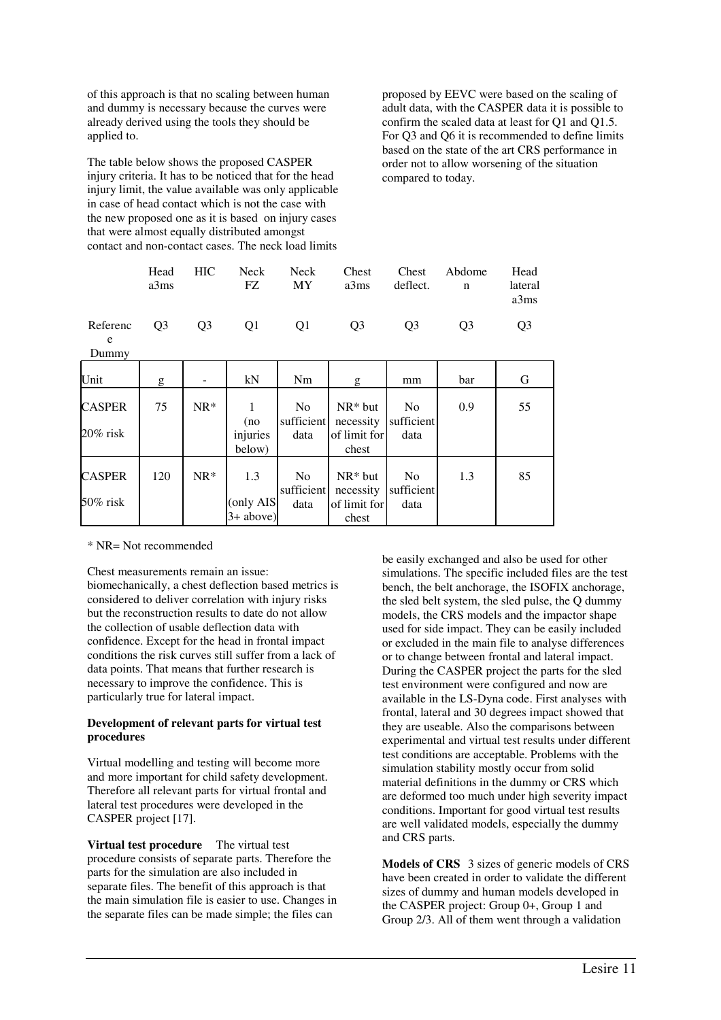of this approach is that no scaling between human and dummy is necessary because the curves were already derived using the tools they should be applied to.

The table below shows the proposed CASPER injury criteria. It has to be noticed that for the head injury limit, the value available was only applicable in case of head contact which is not the case with the new proposed one as it is based on injury cases that were almost equally distributed amongst contact and non-contact cases. The neck load limits

proposed by EEVC were based on the scaling of adult data, with the CASPER data it is possible to confirm the scaled data at least for Q1 and Q1.5. For Q3 and Q6 it is recommended to define limits based on the state of the art CRS performance in order not to allow worsening of the situation compared to today.

| Head<br>a3ms | HIC | FZ. | MY a3ms                 | deflect. n     | Neck Neck Chest Chest Abdome | Head<br>lateral<br>a3ms |
|--------------|-----|-----|-------------------------|----------------|------------------------------|-------------------------|
|              |     |     | Referenc O3 O3 O1 O1 O3 | O <sub>3</sub> | O <sub>3</sub>               | O <sub>3</sub>          |

e Dummy

| Unit                         | g   |        | kN                              | Nm                                   | g                                               | mm                                   | bar | G  |
|------------------------------|-----|--------|---------------------------------|--------------------------------------|-------------------------------------------------|--------------------------------------|-----|----|
| <b>CASPER</b><br>$20\%$ risk | 75  | $NR*$  | (no<br>injuries<br>below)       | N <sub>0</sub><br>sufficient<br>data | $NR*$ but<br>necessity<br>of limit for<br>chest | N <sub>0</sub><br>sufficient<br>data | 0.9 | 55 |
| <b>CASPER</b><br>50% risk    | 120 | $NR^*$ | 1.3<br>(only AIS<br>$3+ above)$ | N <sub>0</sub><br>sufficient<br>data | $NR*$ but<br>necessity<br>of limit for<br>chest | N <sub>0</sub><br>sufficient<br>data | 1.3 | 85 |

\* NR= Not recommended

Chest measurements remain an issue: biomechanically, a chest deflection based metrics is considered to deliver correlation with injury risks but the reconstruction results to date do not allow the collection of usable deflection data with confidence. Except for the head in frontal impact conditions the risk curves still suffer from a lack of data points. That means that further research is necessary to improve the confidence. This is particularly true for lateral impact.

# **Development of relevant parts for virtual test procedures**

Virtual modelling and testing will become more and more important for child safety development. Therefore all relevant parts for virtual frontal and lateral test procedures were developed in the CASPER project [17].

**Virtual test procedure** The virtual test procedure consists of separate parts. Therefore the parts for the simulation are also included in separate files. The benefit of this approach is that the main simulation file is easier to use. Changes in the separate files can be made simple; the files can

be easily exchanged and also be used for other simulations. The specific included files are the test bench, the belt anchorage, the ISOFIX anchorage, the sled belt system, the sled pulse, the Q dummy models, the CRS models and the impactor shape used for side impact. They can be easily included or excluded in the main file to analyse differences or to change between frontal and lateral impact. During the CASPER project the parts for the sled test environment were configured and now are available in the LS-Dyna code. First analyses with frontal, lateral and 30 degrees impact showed that they are useable. Also the comparisons between experimental and virtual test results under different test conditions are acceptable. Problems with the simulation stability mostly occur from solid material definitions in the dummy or CRS which are deformed too much under high severity impact conditions. Important for good virtual test results are well validated models, especially the dummy and CRS parts.

**Models of CRS** 3 sizes of generic models of CRS have been created in order to validate the different sizes of dummy and human models developed in the CASPER project: Group 0+, Group 1 and Group 2/3. All of them went through a validation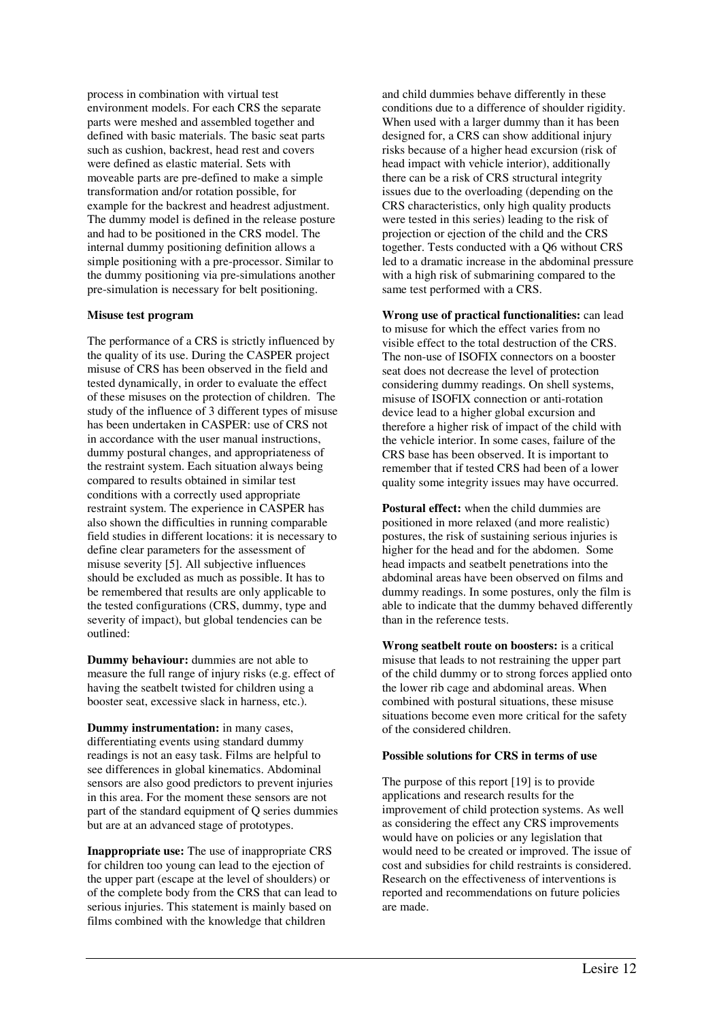process in combination with virtual test environment models. For each CRS the separate parts were meshed and assembled together and defined with basic materials. The basic seat parts such as cushion, backrest, head rest and covers were defined as elastic material. Sets with moveable parts are pre-defined to make a simple transformation and/or rotation possible, for example for the backrest and headrest adjustment. The dummy model is defined in the release posture and had to be positioned in the CRS model. The internal dummy positioning definition allows a simple positioning with a pre-processor. Similar to the dummy positioning via pre-simulations another pre-simulation is necessary for belt positioning.

#### **Misuse test program**

The performance of a CRS is strictly influenced by the quality of its use. During the CASPER project misuse of CRS has been observed in the field and tested dynamically, in order to evaluate the effect of these misuses on the protection of children. The study of the influence of 3 different types of misuse has been undertaken in CASPER: use of CRS not in accordance with the user manual instructions, dummy postural changes, and appropriateness of the restraint system. Each situation always being compared to results obtained in similar test conditions with a correctly used appropriate restraint system. The experience in CASPER has also shown the difficulties in running comparable field studies in different locations: it is necessary to define clear parameters for the assessment of misuse severity [5]. All subjective influences should be excluded as much as possible. It has to be remembered that results are only applicable to the tested configurations (CRS, dummy, type and severity of impact), but global tendencies can be outlined:

**Dummy behaviour:** dummies are not able to measure the full range of injury risks (e.g. effect of having the seatbelt twisted for children using a booster seat, excessive slack in harness, etc.).

**Dummy instrumentation:** in many cases, differentiating events using standard dummy readings is not an easy task. Films are helpful to see differences in global kinematics. Abdominal sensors are also good predictors to prevent injuries in this area. For the moment these sensors are not part of the standard equipment of Q series dummies but are at an advanced stage of prototypes.

**Inappropriate use:** The use of inappropriate CRS for children too young can lead to the ejection of the upper part (escape at the level of shoulders) or of the complete body from the CRS that can lead to serious injuries. This statement is mainly based on films combined with the knowledge that children

and child dummies behave differently in these conditions due to a difference of shoulder rigidity. When used with a larger dummy than it has been designed for, a CRS can show additional injury risks because of a higher head excursion (risk of head impact with vehicle interior), additionally there can be a risk of CRS structural integrity issues due to the overloading (depending on the CRS characteristics, only high quality products were tested in this series) leading to the risk of projection or ejection of the child and the CRS together. Tests conducted with a Q6 without CRS led to a dramatic increase in the abdominal pressure with a high risk of submarining compared to the same test performed with a CRS.

**Wrong use of practical functionalities:** can lead to misuse for which the effect varies from no visible effect to the total destruction of the CRS. The non-use of ISOFIX connectors on a booster seat does not decrease the level of protection considering dummy readings. On shell systems, misuse of ISOFIX connection or anti-rotation device lead to a higher global excursion and therefore a higher risk of impact of the child with the vehicle interior. In some cases, failure of the CRS base has been observed. It is important to remember that if tested CRS had been of a lower quality some integrity issues may have occurred.

**Postural effect:** when the child dummies are positioned in more relaxed (and more realistic) postures, the risk of sustaining serious injuries is higher for the head and for the abdomen. Some head impacts and seatbelt penetrations into the abdominal areas have been observed on films and dummy readings. In some postures, only the film is able to indicate that the dummy behaved differently than in the reference tests.

**Wrong seatbelt route on boosters:** is a critical misuse that leads to not restraining the upper part of the child dummy or to strong forces applied onto the lower rib cage and abdominal areas. When combined with postural situations, these misuse situations become even more critical for the safety of the considered children.

# **Possible solutions for CRS in terms of use**

The purpose of this report [19] is to provide applications and research results for the improvement of child protection systems. As well as considering the effect any CRS improvements would have on policies or any legislation that would need to be created or improved. The issue of cost and subsidies for child restraints is considered. Research on the effectiveness of interventions is reported and recommendations on future policies are made.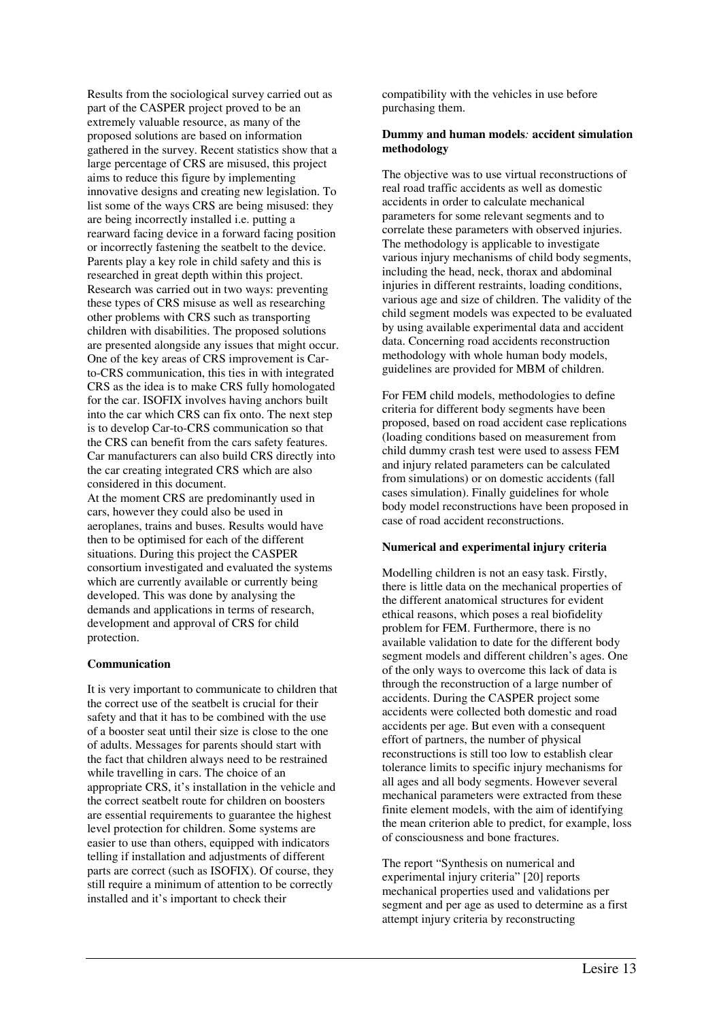Results from the sociological survey carried out as part of the CASPER project proved to be an extremely valuable resource, as many of the proposed solutions are based on information gathered in the survey. Recent statistics show that a large percentage of CRS are misused, this project aims to reduce this figure by implementing innovative designs and creating new legislation. To list some of the ways CRS are being misused: they are being incorrectly installed i.e. putting a rearward facing device in a forward facing position or incorrectly fastening the seatbelt to the device. Parents play a key role in child safety and this is researched in great depth within this project. Research was carried out in two ways: preventing these types of CRS misuse as well as researching other problems with CRS such as transporting children with disabilities. The proposed solutions are presented alongside any issues that might occur. One of the key areas of CRS improvement is Carto-CRS communication, this ties in with integrated CRS as the idea is to make CRS fully homologated for the car. ISOFIX involves having anchors built into the car which CRS can fix onto. The next step is to develop Car-to-CRS communication so that the CRS can benefit from the cars safety features. Car manufacturers can also build CRS directly into the car creating integrated CRS which are also considered in this document.

At the moment CRS are predominantly used in cars, however they could also be used in aeroplanes, trains and buses. Results would have then to be optimised for each of the different situations. During this project the CASPER consortium investigated and evaluated the systems which are currently available or currently being developed. This was done by analysing the demands and applications in terms of research, development and approval of CRS for child protection.

# **Communication**

It is very important to communicate to children that the correct use of the seatbelt is crucial for their safety and that it has to be combined with the use of a booster seat until their size is close to the one of adults. Messages for parents should start with the fact that children always need to be restrained while travelling in cars. The choice of an appropriate CRS, it's installation in the vehicle and the correct seatbelt route for children on boosters are essential requirements to guarantee the highest level protection for children. Some systems are easier to use than others, equipped with indicators telling if installation and adjustments of different parts are correct (such as ISOFIX). Of course, they still require a minimum of attention to be correctly installed and it's important to check their

compatibility with the vehicles in use before purchasing them.

# **Dummy and human models***:* **accident simulation methodology**

The objective was to use virtual reconstructions of real road traffic accidents as well as domestic accidents in order to calculate mechanical parameters for some relevant segments and to correlate these parameters with observed injuries. The methodology is applicable to investigate various injury mechanisms of child body segments, including the head, neck, thorax and abdominal injuries in different restraints, loading conditions, various age and size of children. The validity of the child segment models was expected to be evaluated by using available experimental data and accident data. Concerning road accidents reconstruction methodology with whole human body models, guidelines are provided for MBM of children.

For FEM child models, methodologies to define criteria for different body segments have been proposed, based on road accident case replications (loading conditions based on measurement from child dummy crash test were used to assess FEM and injury related parameters can be calculated from simulations) or on domestic accidents (fall cases simulation). Finally guidelines for whole body model reconstructions have been proposed in case of road accident reconstructions.

# **Numerical and experimental injury criteria**

Modelling children is not an easy task. Firstly, there is little data on the mechanical properties of the different anatomical structures for evident ethical reasons, which poses a real biofidelity problem for FEM. Furthermore, there is no available validation to date for the different body segment models and different children's ages. One of the only ways to overcome this lack of data is through the reconstruction of a large number of accidents. During the CASPER project some accidents were collected both domestic and road accidents per age. But even with a consequent effort of partners, the number of physical reconstructions is still too low to establish clear tolerance limits to specific injury mechanisms for all ages and all body segments. However several mechanical parameters were extracted from these finite element models, with the aim of identifying the mean criterion able to predict, for example, loss of consciousness and bone fractures.

The report "Synthesis on numerical and experimental injury criteria" [20] reports mechanical properties used and validations per segment and per age as used to determine as a first attempt injury criteria by reconstructing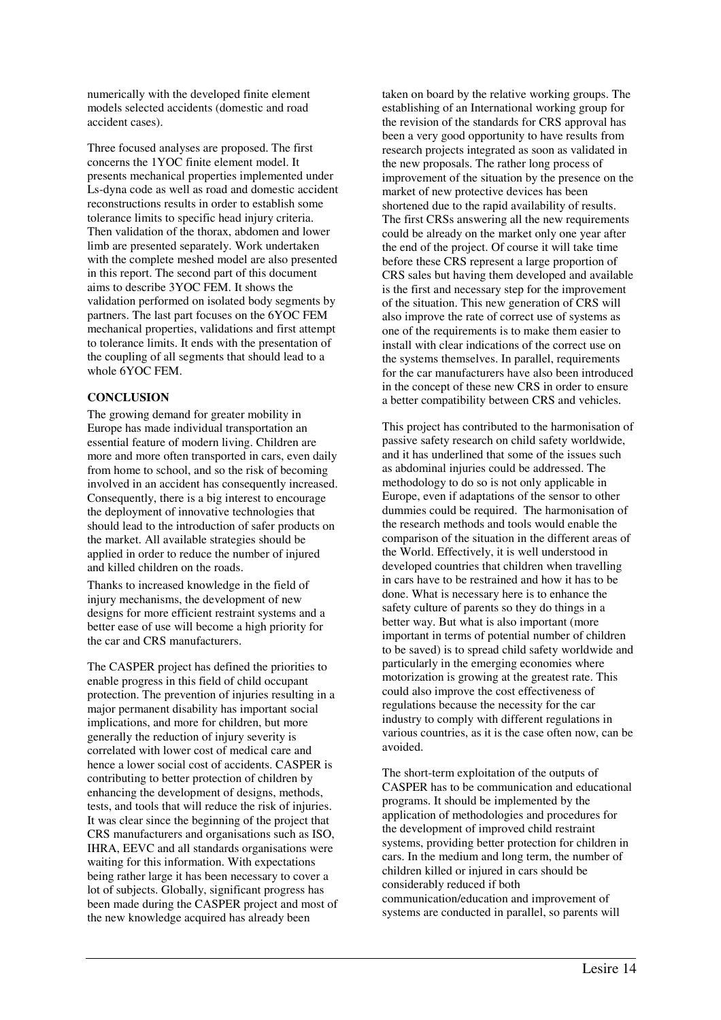numerically with the developed finite element models selected accidents (domestic and road accident cases).

Three focused analyses are proposed. The first concerns the 1YOC finite element model. It presents mechanical properties implemented under Ls-dyna code as well as road and domestic accident reconstructions results in order to establish some tolerance limits to specific head injury criteria. Then validation of the thorax, abdomen and lower limb are presented separately. Work undertaken with the complete meshed model are also presented in this report. The second part of this document aims to describe 3YOC FEM. It shows the validation performed on isolated body segments by partners. The last part focuses on the 6YOC FEM mechanical properties, validations and first attempt to tolerance limits. It ends with the presentation of the coupling of all segments that should lead to a whole 6YOC FEM.

# **CONCLUSION**

The growing demand for greater mobility in Europe has made individual transportation an essential feature of modern living. Children are more and more often transported in cars, even daily from home to school, and so the risk of becoming involved in an accident has consequently increased. Consequently, there is a big interest to encourage the deployment of innovative technologies that should lead to the introduction of safer products on the market. All available strategies should be applied in order to reduce the number of injured and killed children on the roads.

Thanks to increased knowledge in the field of injury mechanisms, the development of new designs for more efficient restraint systems and a better ease of use will become a high priority for the car and CRS manufacturers.

The CASPER project has defined the priorities to enable progress in this field of child occupant protection. The prevention of injuries resulting in a major permanent disability has important social implications, and more for children, but more generally the reduction of injury severity is correlated with lower cost of medical care and hence a lower social cost of accidents. CASPER is contributing to better protection of children by enhancing the development of designs, methods, tests, and tools that will reduce the risk of injuries. It was clear since the beginning of the project that CRS manufacturers and organisations such as ISO, IHRA, EEVC and all standards organisations were waiting for this information. With expectations being rather large it has been necessary to cover a lot of subjects. Globally, significant progress has been made during the CASPER project and most of the new knowledge acquired has already been

taken on board by the relative working groups. The establishing of an International working group for the revision of the standards for CRS approval has been a very good opportunity to have results from research projects integrated as soon as validated in the new proposals. The rather long process of improvement of the situation by the presence on the market of new protective devices has been shortened due to the rapid availability of results. The first CRSs answering all the new requirements could be already on the market only one year after the end of the project. Of course it will take time before these CRS represent a large proportion of CRS sales but having them developed and available is the first and necessary step for the improvement of the situation. This new generation of CRS will also improve the rate of correct use of systems as one of the requirements is to make them easier to install with clear indications of the correct use on the systems themselves. In parallel, requirements for the car manufacturers have also been introduced in the concept of these new CRS in order to ensure a better compatibility between CRS and vehicles.

This project has contributed to the harmonisation of passive safety research on child safety worldwide, and it has underlined that some of the issues such as abdominal injuries could be addressed. The methodology to do so is not only applicable in Europe, even if adaptations of the sensor to other dummies could be required. The harmonisation of the research methods and tools would enable the comparison of the situation in the different areas of the World. Effectively, it is well understood in developed countries that children when travelling in cars have to be restrained and how it has to be done. What is necessary here is to enhance the safety culture of parents so they do things in a better way. But what is also important (more important in terms of potential number of children to be saved) is to spread child safety worldwide and particularly in the emerging economies where motorization is growing at the greatest rate. This could also improve the cost effectiveness of regulations because the necessity for the car industry to comply with different regulations in various countries, as it is the case often now, can be avoided.

The short-term exploitation of the outputs of CASPER has to be communication and educational programs. It should be implemented by the application of methodologies and procedures for the development of improved child restraint systems, providing better protection for children in cars. In the medium and long term, the number of children killed or injured in cars should be considerably reduced if both communication/education and improvement of systems are conducted in parallel, so parents will